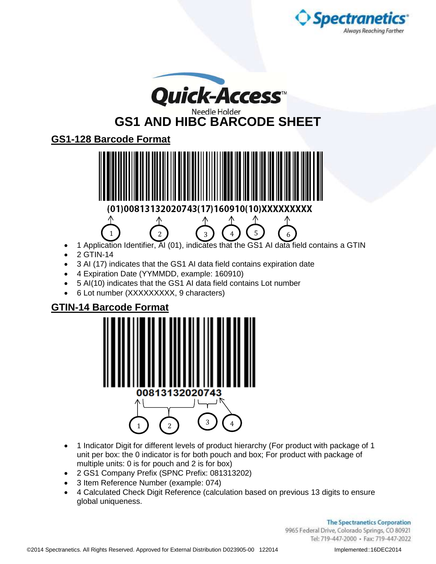



**GS1 AND HIBC BARCODE SHEET** 

**GS1-128 Barcode Format**



- 1 Application Identifier, AI (01), indicates that the GS1 AI data field contains a GTIN 1  $\begin{pmatrix} 2 \end{pmatrix}$   $\begin{pmatrix} 3 \end{pmatrix}$   $\begin{pmatrix} 4 \end{pmatrix}$   $\begin{pmatrix} 5 \end{pmatrix}$   $\begin{pmatrix} 6 \end{pmatrix}$
- 2 GTIN-14
- 3 AI (17) indicates that the GS1 AI data field contains expiration date
- 4 Expiration Date (YYMMDD, example: 160910)
- 5 AI(10) indicates that the GS1 AI data field contains Lot number
- 6 Lot number (XXXXXXXXX, 9 characters)

## **GTIN-14 Barcode Format**



- 1 Indicator Digit for different levels of product hierarchy (For product with package of 1 unit per box: the 0 indicator is for both pouch and box; For product with package of multiple units: 0 is for pouch and 2 is for box)
- 2 GS1 Company Prefix (SPNC Prefix: 081313202)
- 3 Item Reference Number (example: 074)
- 4 Calculated Check Digit Reference (calculation based on previous 13 digits to ensure global uniqueness.